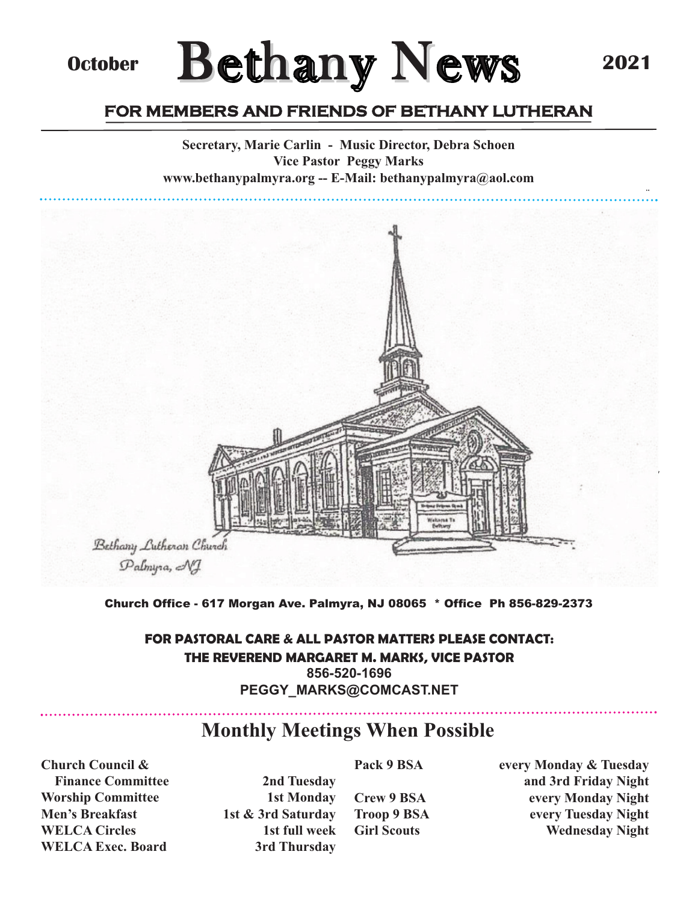**2021**

## **October**

# **Bethany News**

## FOR MEMBERS AND FRIENDS OF BETHANY LUTHERAN

**Secretary, Marie Carlin - Music Director, Debra Schoen Vice Pastor Peggy Marks www.bethanypalmyra.org -- E-Mail: bethanypalmyra@aol.com**



#### Church Office - 617 Morgan Ave. Palmyra, NJ 08065 \* Office Ph 856-829-2373

#### *FOR PASTORAL CARE & ALL PASTOR MATTERS PLEASE CONTACT: THE REVEREND MARGARET M. MARKS, VICE PASTOR* **856-520-1696 PEGGY\_MARKS@COMCAST.NET**

#### **Monthly Meetings When Possible**

**Church Council & Finance Committee 2nd Tuesday Worship Committee 1st Monday Men's Breakfast** 1st & 3rd Saturday **WELCA Circles** 1st full week **WELCA Exec. Board 3rd Thursday**

Pack 9 BSA every Monday & Tuesday **and 3rd Friday Night Crew 9 BSA every Monday Night Troop 9 BSA every Tuesday Night Girl Scouts Wednesday Night**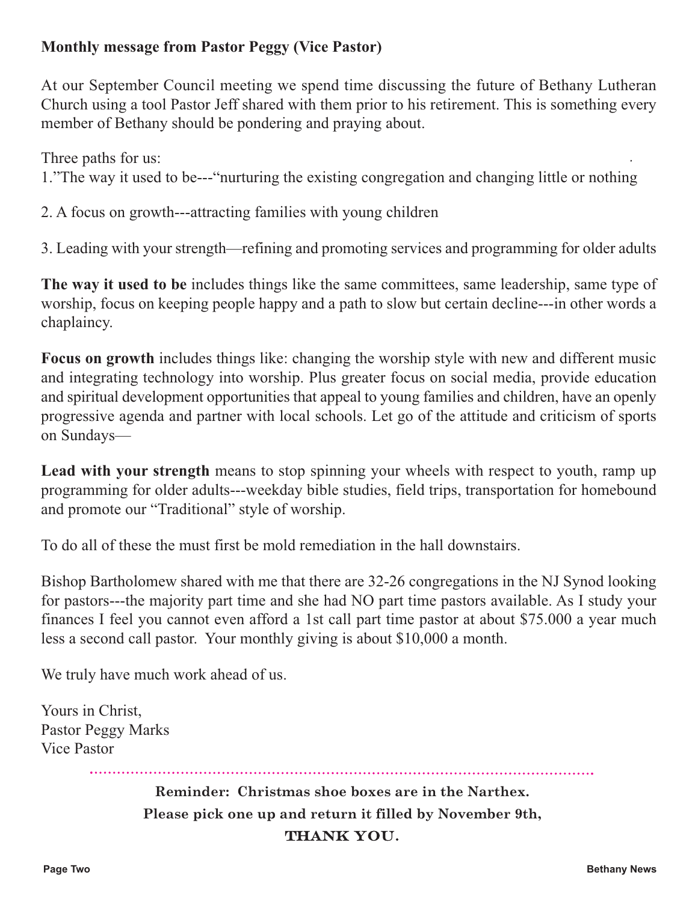#### **Monthly message from Pastor Peggy (Vice Pastor)**

At our September Council meeting we spend time discussing the future of Bethany Lutheran Church using a tool Pastor Jeff shared with them prior to his retirement. This is something every member of Bethany should be pondering and praying about.

Three paths for us:

1."The way it used to be---"nurturing the existing congregation and changing little or nothing

2. A focus on growth---attracting families with young children

3. Leading with your strength—refining and promoting services and programming for older adults

**The way it used to be** includes things like the same committees, same leadership, same type of worship, focus on keeping people happy and a path to slow but certain decline---in other words a chaplaincy.

**Focus on growth** includes things like: changing the worship style with new and different music and integrating technology into worship. Plus greater focus on social media, provide education and spiritual development opportunities that appeal to young families and children, have an openly progressive agenda and partner with local schools. Let go of the attitude and criticism of sports on Sundays—

**Lead with your strength** means to stop spinning your wheels with respect to youth, ramp up programming for older adults---weekday bible studies, field trips, transportation for homebound and promote our "Traditional" style of worship.

To do all of these the must first be mold remediation in the hall downstairs.

Bishop Bartholomew shared with me that there are 32-26 congregations in the NJ Synod looking for pastors---the majority part time and she had NO part time pastors available. As I study your finances I feel you cannot even afford a 1st call part time pastor at about \$75.000 a year much less a second call pastor. Your monthly giving is about \$10,000 a month.

We truly have much work ahead of us.

Yours in Christ, Pastor Peggy Marks Vice Pastor

> **Reminder: Christmas shoe boxes are in the Narthex. Please pick one up and return it filled by November 9th, THANK YOU.**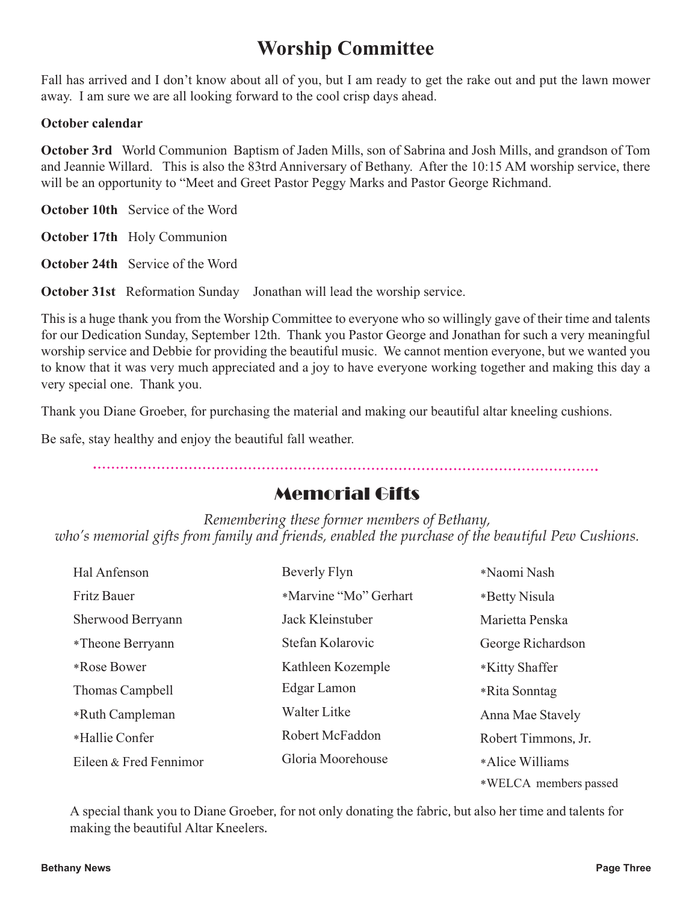## **Worship Committee**

Fall has arrived and I don't know about all of you, but I am ready to get the rake out and put the lawn mower away. I am sure we are all looking forward to the cool crisp days ahead.

#### **October calendar**

**October 3rd** World Communion Baptism of Jaden Mills, son of Sabrina and Josh Mills, and grandson of Tom and Jeannie Willard. This is also the 83trd Anniversary of Bethany. After the 10:15 AM worship service, there will be an opportunity to "Meet and Greet Pastor Peggy Marks and Pastor George Richmand.

**October 10th** Service of the Word

**October 17th** Holy Communion

**October 24th** Service of the Word

**October 31st** Reformation Sunday Jonathan will lead the worship service.

This is a huge thank you from the Worship Committee to everyone who so willingly gave of their time and talents for our Dedication Sunday, September 12th. Thank you Pastor George and Jonathan for such a very meaningful worship service and Debbie for providing the beautiful music. We cannot mention everyone, but we wanted you to know that it was very much appreciated and a joy to have everyone working together and making this day a very special one. Thank you.

Thank you Diane Groeber, for purchasing the material and making our beautiful altar kneeling cushions.

Be safe, stay healthy and enjoy the beautiful fall weather.

### Memorial Gifts

*Remembering these former members of Bethany, who's memorial gifts from family and friends, enabled the purchase of the beautiful Pew Cushions.*

| Hal Anfenson           | Beverly Flyn          | *Naomi Nash           |
|------------------------|-----------------------|-----------------------|
| <b>Fritz Bauer</b>     | *Marvine "Mo" Gerhart | *Betty Nisula         |
| Sherwood Berryann      | Jack Kleinstuber      | Marietta Penska       |
| *Theone Berryann       | Stefan Kolarovic      | George Richardson     |
| *Rose Bower            | Kathleen Kozemple     | *Kitty Shaffer        |
| Thomas Campbell        | Edgar Lamon           | *Rita Sonntag         |
| *Ruth Campleman        | <b>Walter Litke</b>   | Anna Mae Stavely      |
| *Hallie Confer         | Robert McFaddon       | Robert Timmons, Jr.   |
| Eileen & Fred Fennimor | Gloria Moorehouse     | *Alice Williams       |
|                        |                       | *WELCA members passed |

A special thank you to Diane Groeber, for not only donating the fabric, but also her time and talents for making the beautiful Altar Kneelers.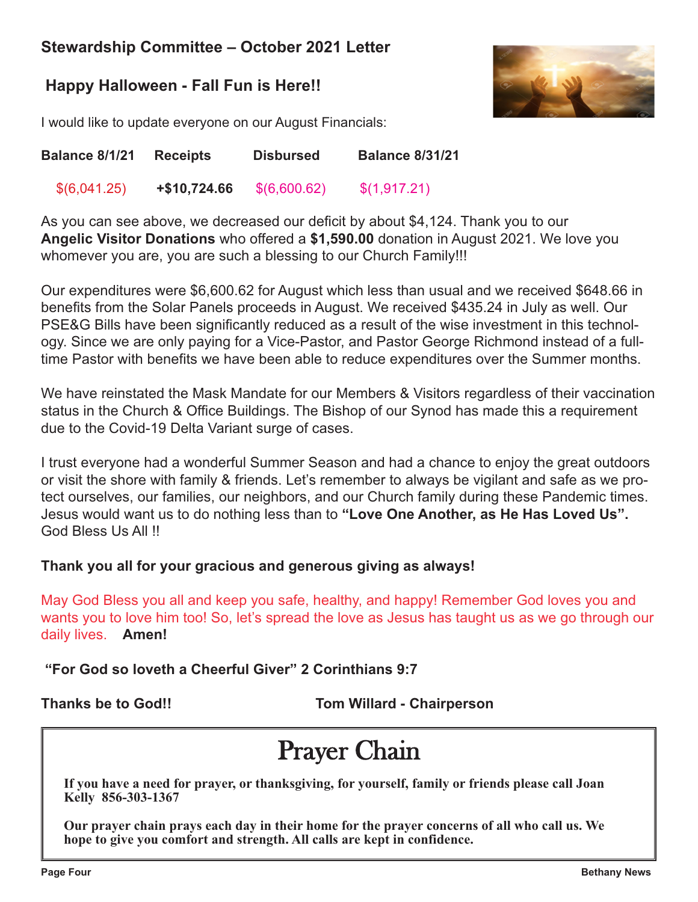#### **Stewardship Committee – October 2021 Letter**

#### **Happy Halloween - Fall Fun is Here!!**



I would like to update everyone on our August Financials:

| <b>Balance 8/1/21</b> | <b>Receipts</b> | <b>Disbursed</b> | <b>Balance 8/31/21</b> |
|-----------------------|-----------------|------------------|------------------------|
| \$(6,041.25)          | +\$10,724.66    | \$(6,600.62)     | \$(1,917.21)           |

As you can see above, we decreased our deficit by about \$4,124. Thank you to our **Angelic Visitor Donations** who offered a **\$1,590.00** donation in August 2021. We love you whomever you are, you are such a blessing to our Church Family!!!

Our expenditures were \$6,600.62 for August which less than usual and we received \$648.66 in benefits from the Solar Panels proceeds in August. We received \$435.24 in July as well. Our PSE&G Bills have been significantly reduced as a result of the wise investment in this technology. Since we are only paying for a Vice-Pastor, and Pastor George Richmond instead of a fulltime Pastor with benefits we have been able to reduce expenditures over the Summer months.

We have reinstated the Mask Mandate for our Members & Visitors regardless of their vaccination status in the Church & Office Buildings. The Bishop of our Synod has made this a requirement due to the Covid-19 Delta Variant surge of cases.

I trust everyone had a wonderful Summer Season and had a chance to enjoy the great outdoors or visit the shore with family & friends. Let's remember to always be vigilant and safe as we protect ourselves, our families, our neighbors, and our Church family during these Pandemic times. Jesus would want us to do nothing less than to **"Love One Another, as He Has Loved Us".** God Bless Us All !!

#### **Thank you all for your gracious and generous giving as always!**

May God Bless you all and keep you safe, healthy, and happy! Remember God loves you and wants you to love him too! So, let's spread the love as Jesus has taught us as we go through our daily lives. **Amen!**

**"For God so loveth a Cheerful Giver" 2 Corinthians 9:7**

**Thanks be to God!! Tom Willard - Chairperson**

## **Praver Chain**

**If you have a need for prayer, or thanksgiving, for yourself, family or friends please call Joan Kelly 856-303-1367**

**Our prayer chain prays each day in their home for the prayer concerns of all who call us. We hope to give you comfort and strength. All calls are kept in confidence.**